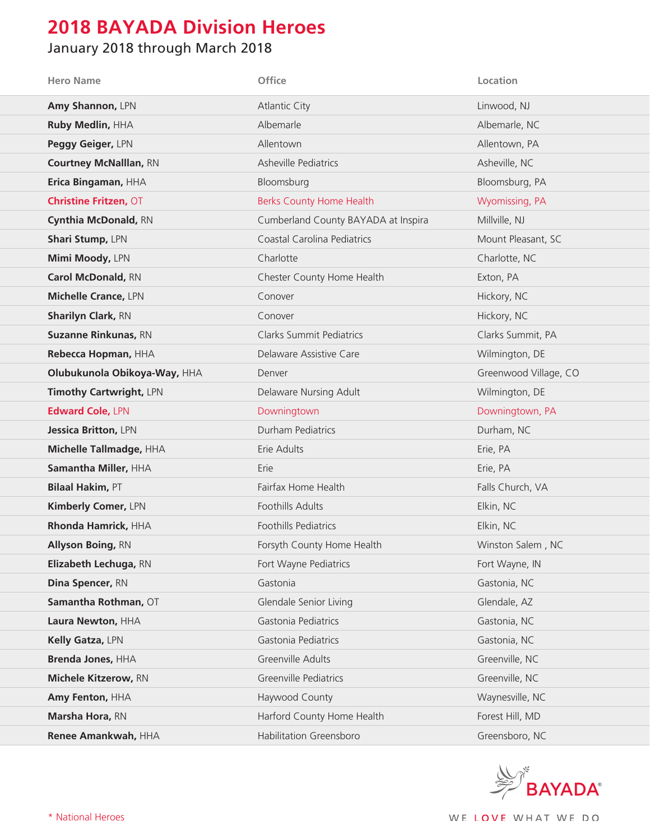## **2018 BAYADA Division Heroes**

## January 2018 through March 2018

| <b>Hero Name</b>              | <b>Office</b>                       | Location              |
|-------------------------------|-------------------------------------|-----------------------|
| Amy Shannon, LPN              | <b>Atlantic City</b>                | Linwood, NJ           |
| Ruby Medlin, HHA              | Albemarle                           | Albemarle, NC         |
| Peggy Geiger, LPN             | Allentown                           | Allentown, PA         |
| <b>Courtney McNalllan, RN</b> | <b>Asheville Pediatrics</b>         | Asheville, NC         |
| Erica Bingaman, HHA           | Bloomsburg                          | Bloomsburg, PA        |
| <b>Christine Fritzen, OT</b>  | <b>Berks County Home Health</b>     | Wyomissing, PA        |
| Cynthia McDonald, RN          | Cumberland County BAYADA at Inspira | Millville, NJ         |
| Shari Stump, LPN              | Coastal Carolina Pediatrics         | Mount Pleasant, SC    |
| Mimi Moody, LPN               | Charlotte                           | Charlotte, NC         |
| Carol McDonald, RN            | Chester County Home Health          | Exton, PA             |
| <b>Michelle Crance, LPN</b>   | Conover                             | Hickory, NC           |
| <b>Sharilyn Clark, RN</b>     | Conover                             | Hickory, NC           |
| <b>Suzanne Rinkunas, RN</b>   | <b>Clarks Summit Pediatrics</b>     | Clarks Summit, PA     |
| Rebecca Hopman, HHA           | Delaware Assistive Care             | Wilmington, DE        |
| Olubukunola Obikoya-Way, HHA  | Denver                              | Greenwood Village, CO |
| Timothy Cartwright, LPN       | Delaware Nursing Adult              | Wilmington, DE        |
| <b>Edward Cole, LPN</b>       | Downingtown                         | Downingtown, PA       |
| Jessica Britton, LPN          | Durham Pediatrics                   | Durham, NC            |
| Michelle Tallmadge, HHA       | Erie Adults                         | Erie, PA              |
| Samantha Miller, HHA          | Erie                                | Erie, PA              |
| <b>Bilaal Hakim, PT</b>       | Fairfax Home Health                 | Falls Church, VA      |
| Kimberly Comer, LPN           | Foothills Adults                    | Elkin, NC             |
| Rhonda Hamrick, HHA           | Foothills Pediatrics                | Elkin, NC             |
| <b>Allyson Boing, RN</b>      | Forsyth County Home Health          | Winston Salem, NC     |
| Elizabeth Lechuga, RN         | Fort Wayne Pediatrics               | Fort Wayne, IN        |
| Dina Spencer, RN              | Gastonia                            | Gastonia, NC          |
| Samantha Rothman, OT          | Glendale Senior Living              | Glendale, AZ          |
| Laura Newton, HHA             | Gastonia Pediatrics                 | Gastonia, NC          |
| Kelly Gatza, LPN              | Gastonia Pediatrics                 | Gastonia, NC          |
| <b>Brenda Jones, HHA</b>      | Greenville Adults                   | Greenville, NC        |
| Michele Kitzerow, RN          | Greenville Pediatrics               | Greenville, NC        |
| Amy Fenton, HHA               | Haywood County                      | Waynesville, NC       |
| Marsha Hora, RN               | Harford County Home Health          | Forest Hill, MD       |
| Renee Amankwah, HHA           | Habilitation Greensboro             | Greensboro, NC        |

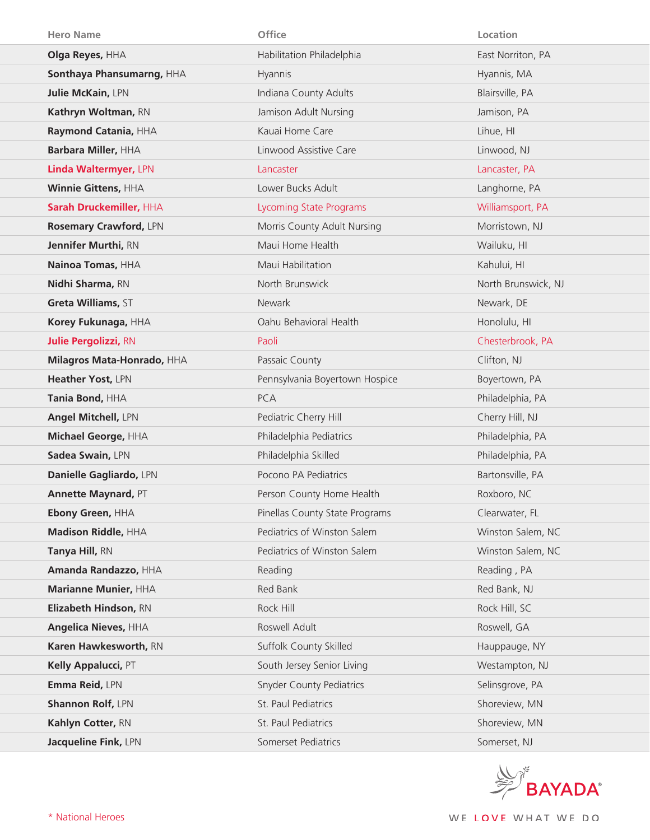| <b>Hero Name</b>            | <b>Office</b>                   | Location            |
|-----------------------------|---------------------------------|---------------------|
| Olga Reyes, HHA             | Habilitation Philadelphia       | East Norriton, PA   |
| Sonthaya Phansumarng, HHA   | Hyannis                         | Hyannis, MA         |
| Julie McKain, LPN           | Indiana County Adults           | Blairsville, PA     |
| Kathryn Woltman, RN         | Jamison Adult Nursing           | Jamison, PA         |
| Raymond Catania, HHA        | Kauai Home Care                 | Lihue, HI           |
| Barbara Miller, HHA         | Linwood Assistive Care          | Linwood, NJ         |
| Linda Waltermyer, LPN       | Lancaster                       | Lancaster, PA       |
| Winnie Gittens, HHA         | Lower Bucks Adult               | Langhorne, PA       |
| Sarah Druckemiller, HHA     | <b>Lycoming State Programs</b>  | Williamsport, PA    |
| Rosemary Crawford, LPN      | Morris County Adult Nursing     | Morristown, NJ      |
| Jennifer Murthi, RN         | Maui Home Health                | Wailuku, HI         |
| Nainoa Tomas, HHA           | Maui Habilitation               | Kahului, HI         |
| Nidhi Sharma, RN            | North Brunswick                 | North Brunswick, NJ |
| Greta Williams, ST          | Newark                          | Newark, DE          |
| Korey Fukunaga, HHA         | Oahu Behavioral Health          | Honolulu, HI        |
| <b>Julie Pergolizzi, RN</b> | Paoli                           | Chesterbrook, PA    |
| Milagros Mata-Honrado, HHA  | Passaic County                  | Clifton, NJ         |
| Heather Yost, LPN           | Pennsylvania Boyertown Hospice  | Boyertown, PA       |
|                             |                                 |                     |
| Tania Bond, HHA             | <b>PCA</b>                      | Philadelphia, PA    |
| Angel Mitchell, LPN         | Pediatric Cherry Hill           | Cherry Hill, NJ     |
| Michael George, HHA         | Philadelphia Pediatrics         | Philadelphia, PA    |
| Sadea Swain, LPN            | Philadelphia Skilled            | Philadelphia, PA    |
| Danielle Gagliardo, LPN     | Pocono PA Pediatrics            | Bartonsville, PA    |
| <b>Annette Maynard, PT</b>  | Person County Home Health       | Roxboro, NC         |
| Ebony Green, HHA            | Pinellas County State Programs  | Clearwater, FL      |
| Madison Riddle, HHA         | Pediatrics of Winston Salem     | Winston Salem, NC   |
| Tanya Hill, RN              | Pediatrics of Winston Salem     | Winston Salem, NC   |
| Amanda Randazzo, HHA        | Reading                         | Reading, PA         |
| Marianne Munier, HHA        | Red Bank                        | Red Bank, NJ        |
| Elizabeth Hindson, RN       | Rock Hill                       | Rock Hill, SC       |
| <b>Angelica Nieves, HHA</b> | Roswell Adult                   | Roswell, GA         |
| Karen Hawkesworth, RN       | Suffolk County Skilled          | Hauppauge, NY       |
| Kelly Appalucci, PT         | South Jersey Senior Living      | Westampton, NJ      |
| Emma Reid, LPN              | <b>Snyder County Pediatrics</b> | Selinsgrove, PA     |
| <b>Shannon Rolf, LPN</b>    | St. Paul Pediatrics             | Shoreview, MN       |
| Kahlyn Cotter, RN           | St. Paul Pediatrics             | Shoreview, MN       |